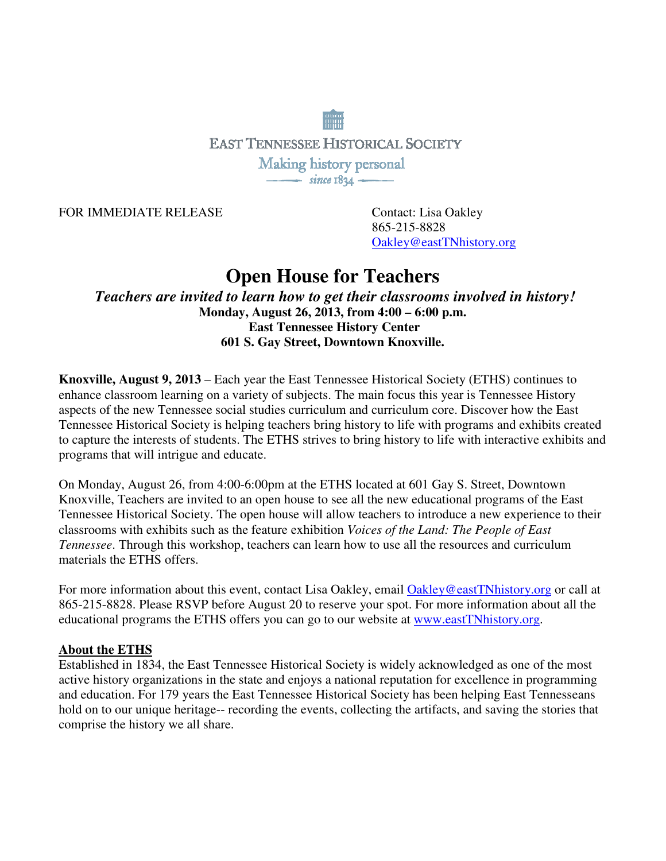**EAST TENNESSEE HISTORICAL SOCIETY** Making history personal  $\frac{1}{\sqrt{1-\frac{1}{2}}\sqrt{1-\frac{1}{2}}\sqrt{1-\frac{1}{2}}}}$ 

FOR IMMEDIATE RELEASE Contact: Lisa Oakley

865-215-8828 Oakley@eastTNhistory.org

## **Open House for Teachers**

*Teachers are invited to learn how to get their classrooms involved in history!*  **Monday, August 26, 2013, from 4:00 – 6:00 p.m. East Tennessee History Center 601 S. Gay Street, Downtown Knoxville.** 

**Knoxville, August 9, 2013** – Each year the East Tennessee Historical Society (ETHS) continues to enhance classroom learning on a variety of subjects. The main focus this year is Tennessee History aspects of the new Tennessee social studies curriculum and curriculum core. Discover how the East Tennessee Historical Society is helping teachers bring history to life with programs and exhibits created to capture the interests of students. The ETHS strives to bring history to life with interactive exhibits and programs that will intrigue and educate.

On Monday, August 26, from 4:00-6:00pm at the ETHS located at 601 Gay S. Street, Downtown Knoxville, Teachers are invited to an open house to see all the new educational programs of the East Tennessee Historical Society. The open house will allow teachers to introduce a new experience to their classrooms with exhibits such as the feature exhibition *Voices of the Land: The People of East Tennessee*. Through this workshop, teachers can learn how to use all the resources and curriculum materials the ETHS offers.

For more information about this event, contact Lisa Oakley, email Oakley@eastTNhistory.org or call at 865-215-8828. Please RSVP before August 20 to reserve your spot. For more information about all the educational programs the ETHS offers you can go to our website at www.eastTNhistory.org.

## **About the ETHS**

Established in 1834, the East Tennessee Historical Society is widely acknowledged as one of the most active history organizations in the state and enjoys a national reputation for excellence in programming and education. For 179 years the East Tennessee Historical Society has been helping East Tennesseans hold on to our unique heritage-- recording the events, collecting the artifacts, and saving the stories that comprise the history we all share.